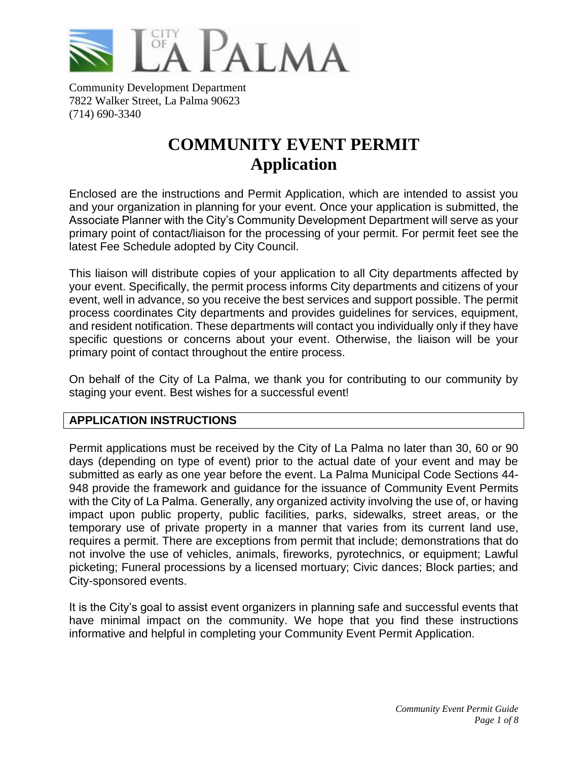

Community Development Department 7822 Walker Street, La Palma 90623 (714) 690-3340

# **COMMUNITY EVENT PERMIT Application**

Enclosed are the instructions and Permit Application, which are intended to assist you and your organization in planning for your event. Once your application is submitted, the Associate Planner with the City's Community Development Department will serve as your primary point of contact/liaison for the processing of your permit. For permit feet see the latest Fee Schedule adopted by City Council.

This liaison will distribute copies of your application to all City departments affected by your event. Specifically, the permit process informs City departments and citizens of your event, well in advance, so you receive the best services and support possible. The permit process coordinates City departments and provides guidelines for services, equipment, and resident notification. These departments will contact you individually only if they have specific questions or concerns about your event. Otherwise, the liaison will be your primary point of contact throughout the entire process.

On behalf of the City of La Palma, we thank you for contributing to our community by staging your event. Best wishes for a successful event!

# **APPLICATION INSTRUCTIONS**

Permit applications must be received by the City of La Palma no later than 30, 60 or 90 days (depending on type of event) prior to the actual date of your event and may be submitted as early as one year before the event. La Palma Municipal Code Sections 44- 948 provide the framework and guidance for the issuance of Community Event Permits with the City of La Palma. Generally, any organized activity involving the use of, or having impact upon public property, public facilities, parks, sidewalks, street areas, or the temporary use of private property in a manner that varies from its current land use, requires a permit. There are exceptions from permit that include; demonstrations that do not involve the use of vehicles, animals, fireworks, pyrotechnics, or equipment; Lawful picketing; Funeral processions by a licensed mortuary; Civic dances; Block parties; and City-sponsored events.

It is the City's goal to assist event organizers in planning safe and successful events that have minimal impact on the community. We hope that you find these instructions informative and helpful in completing your Community Event Permit Application.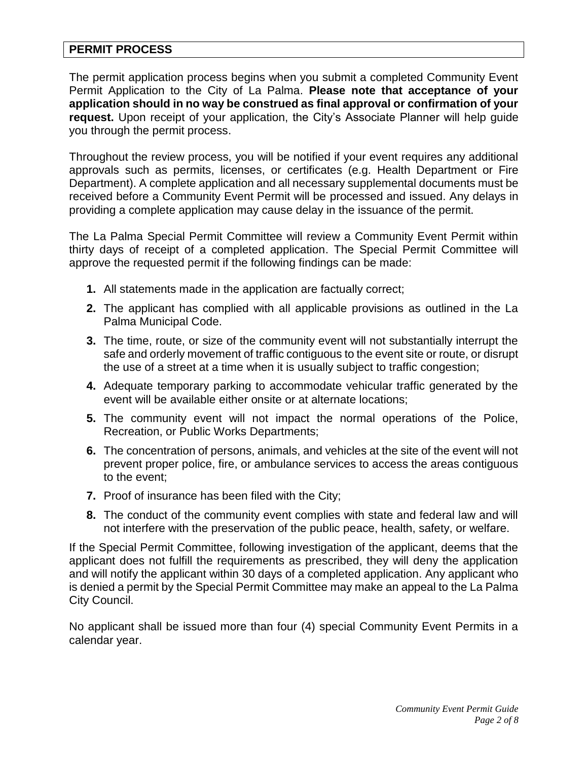# **PERMIT PROCESS**

The permit application process begins when you submit a completed Community Event Permit Application to the City of La Palma. **Please note that acceptance of your application should in no way be construed as final approval or confirmation of your request.** Upon receipt of your application, the City's Associate Planner will help guide you through the permit process.

Throughout the review process, you will be notified if your event requires any additional approvals such as permits, licenses, or certificates (e.g. Health Department or Fire Department). A complete application and all necessary supplemental documents must be received before a Community Event Permit will be processed and issued. Any delays in providing a complete application may cause delay in the issuance of the permit.

The La Palma Special Permit Committee will review a Community Event Permit within thirty days of receipt of a completed application. The Special Permit Committee will approve the requested permit if the following findings can be made:

- **1.** All statements made in the application are factually correct;
- **2.** The applicant has complied with all applicable provisions as outlined in the La Palma Municipal Code.
- **3.** The time, route, or size of the community event will not substantially interrupt the safe and orderly movement of traffic contiguous to the event site or route, or disrupt the use of a street at a time when it is usually subject to traffic congestion;
- **4.** Adequate temporary parking to accommodate vehicular traffic generated by the event will be available either onsite or at alternate locations;
- **5.** The community event will not impact the normal operations of the Police, Recreation, or Public Works Departments;
- **6.** The concentration of persons, animals, and vehicles at the site of the event will not prevent proper police, fire, or ambulance services to access the areas contiguous to the event;
- **7.** Proof of insurance has been filed with the City;
- **8.** The conduct of the community event complies with state and federal law and will not interfere with the preservation of the public peace, health, safety, or welfare.

If the Special Permit Committee, following investigation of the applicant, deems that the applicant does not fulfill the requirements as prescribed, they will deny the application and will notify the applicant within 30 days of a completed application. Any applicant who is denied a permit by the Special Permit Committee may make an appeal to the La Palma City Council.

No applicant shall be issued more than four (4) special Community Event Permits in a calendar year.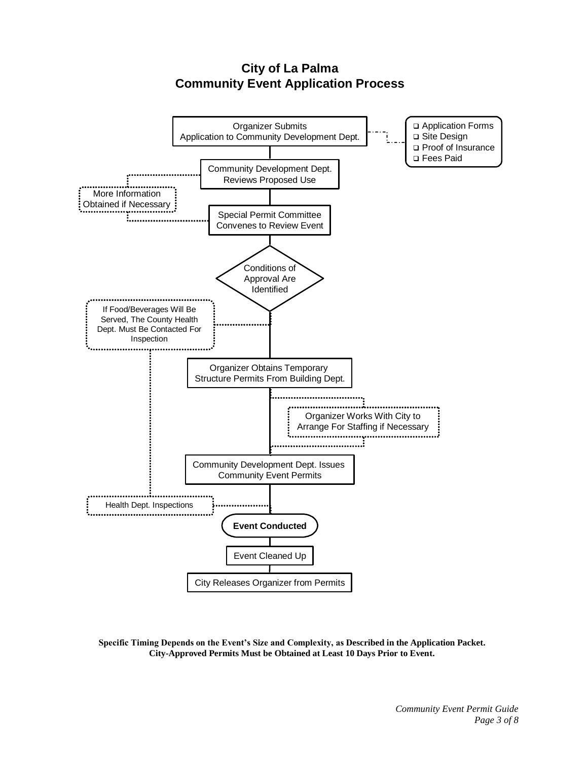# **City of La Palma Community Event Application Process**



**Specific Timing Depends on the Event's Size and Complexity, as Described in the Application Packet. City-Approved Permits Must be Obtained at Least 10 Days Prior to Event.**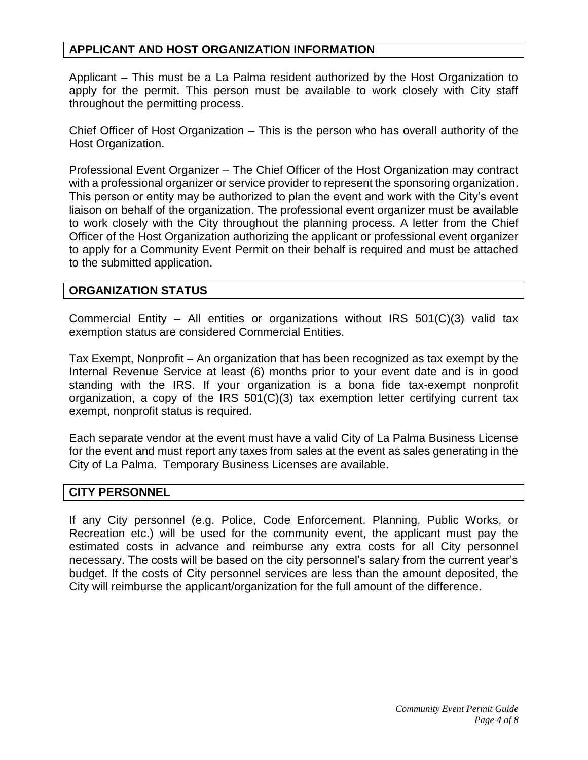# **APPLICANT AND HOST ORGANIZATION INFORMATION**

Applicant – This must be a La Palma resident authorized by the Host Organization to apply for the permit. This person must be available to work closely with City staff throughout the permitting process.

Chief Officer of Host Organization – This is the person who has overall authority of the Host Organization.

Professional Event Organizer – The Chief Officer of the Host Organization may contract with a professional organizer or service provider to represent the sponsoring organization. This person or entity may be authorized to plan the event and work with the City's event liaison on behalf of the organization. The professional event organizer must be available to work closely with the City throughout the planning process. A letter from the Chief Officer of the Host Organization authorizing the applicant or professional event organizer to apply for a Community Event Permit on their behalf is required and must be attached to the submitted application.

## **ORGANIZATION STATUS**

Commercial Entity – All entities or organizations without IRS 501(C)(3) valid tax exemption status are considered Commercial Entities.

Tax Exempt, Nonprofit – An organization that has been recognized as tax exempt by the Internal Revenue Service at least (6) months prior to your event date and is in good standing with the IRS. If your organization is a bona fide tax-exempt nonprofit organization, a copy of the IRS 501(C)(3) tax exemption letter certifying current tax exempt, nonprofit status is required.

Each separate vendor at the event must have a valid City of La Palma Business License for the event and must report any taxes from sales at the event as sales generating in the City of La Palma. Temporary Business Licenses are available.

#### **CITY PERSONNEL**

If any City personnel (e.g. Police, Code Enforcement, Planning, Public Works, or Recreation etc.) will be used for the community event, the applicant must pay the estimated costs in advance and reimburse any extra costs for all City personnel necessary. The costs will be based on the city personnel's salary from the current year's budget. If the costs of City personnel services are less than the amount deposited, the City will reimburse the applicant/organization for the full amount of the difference.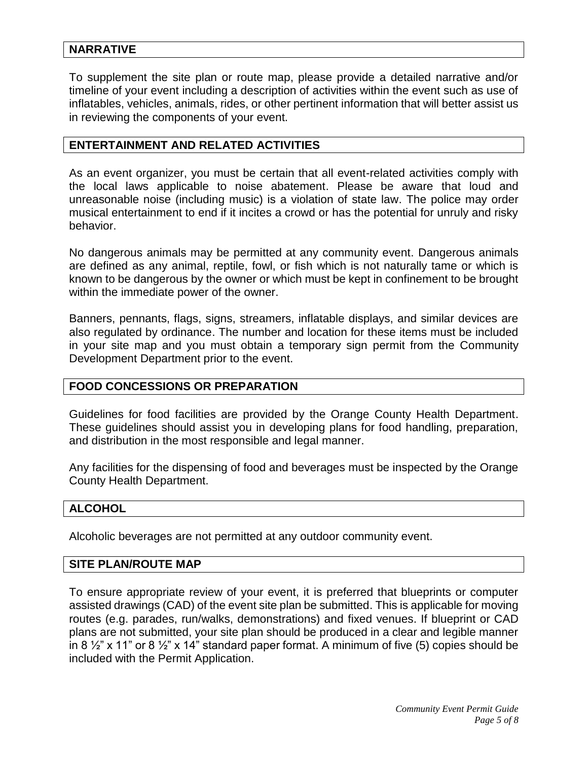# **NARRATIVE**

To supplement the site plan or route map, please provide a detailed narrative and/or timeline of your event including a description of activities within the event such as use of inflatables, vehicles, animals, rides, or other pertinent information that will better assist us in reviewing the components of your event.

#### **ENTERTAINMENT AND RELATED ACTIVITIES**

As an event organizer, you must be certain that all event-related activities comply with the local laws applicable to noise abatement. Please be aware that loud and unreasonable noise (including music) is a violation of state law. The police may order musical entertainment to end if it incites a crowd or has the potential for unruly and risky behavior.

No dangerous animals may be permitted at any community event. Dangerous animals are defined as any animal, reptile, fowl, or fish which is not naturally tame or which is known to be dangerous by the owner or which must be kept in confinement to be brought within the immediate power of the owner.

Banners, pennants, flags, signs, streamers, inflatable displays, and similar devices are also regulated by ordinance. The number and location for these items must be included in your site map and you must obtain a temporary sign permit from the Community Development Department prior to the event.

#### **FOOD CONCESSIONS OR PREPARATION**

Guidelines for food facilities are provided by the Orange County Health Department. These guidelines should assist you in developing plans for food handling, preparation, and distribution in the most responsible and legal manner.

Any facilities for the dispensing of food and beverages must be inspected by the Orange County Health Department.

#### **ALCOHOL**

Alcoholic beverages are not permitted at any outdoor community event.

#### **SITE PLAN/ROUTE MAP**

To ensure appropriate review of your event, it is preferred that blueprints or computer assisted drawings (CAD) of the event site plan be submitted. This is applicable for moving routes (e.g. parades, run/walks, demonstrations) and fixed venues. If blueprint or CAD plans are not submitted, your site plan should be produced in a clear and legible manner in 8  $\frac{1}{2}$ " x 11" or 8  $\frac{1}{2}$ " x 14" standard paper format. A minimum of five (5) copies should be included with the Permit Application.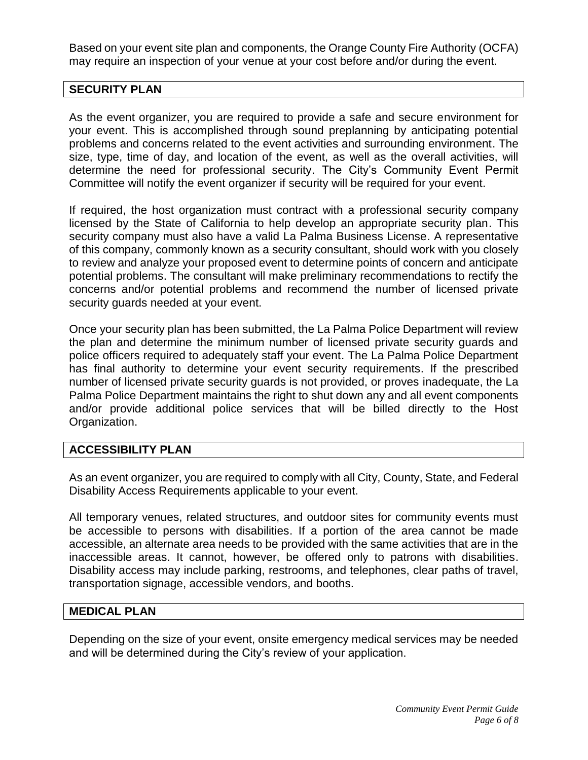Based on your event site plan and components, the Orange County Fire Authority (OCFA) may require an inspection of your venue at your cost before and/or during the event.

# **SECURITY PLAN**

As the event organizer, you are required to provide a safe and secure environment for your event. This is accomplished through sound preplanning by anticipating potential problems and concerns related to the event activities and surrounding environment. The size, type, time of day, and location of the event, as well as the overall activities, will determine the need for professional security. The City's Community Event Permit Committee will notify the event organizer if security will be required for your event.

If required, the host organization must contract with a professional security company licensed by the State of California to help develop an appropriate security plan. This security company must also have a valid La Palma Business License. A representative of this company, commonly known as a security consultant, should work with you closely to review and analyze your proposed event to determine points of concern and anticipate potential problems. The consultant will make preliminary recommendations to rectify the concerns and/or potential problems and recommend the number of licensed private security guards needed at your event.

Once your security plan has been submitted, the La Palma Police Department will review the plan and determine the minimum number of licensed private security guards and police officers required to adequately staff your event. The La Palma Police Department has final authority to determine your event security requirements. If the prescribed number of licensed private security guards is not provided, or proves inadequate, the La Palma Police Department maintains the right to shut down any and all event components and/or provide additional police services that will be billed directly to the Host Organization.

## **ACCESSIBILITY PLAN**

As an event organizer, you are required to comply with all City, County, State, and Federal Disability Access Requirements applicable to your event.

All temporary venues, related structures, and outdoor sites for community events must be accessible to persons with disabilities. If a portion of the area cannot be made accessible, an alternate area needs to be provided with the same activities that are in the inaccessible areas. It cannot, however, be offered only to patrons with disabilities. Disability access may include parking, restrooms, and telephones, clear paths of travel, transportation signage, accessible vendors, and booths.

## **MEDICAL PLAN**

Depending on the size of your event, onsite emergency medical services may be needed and will be determined during the City's review of your application.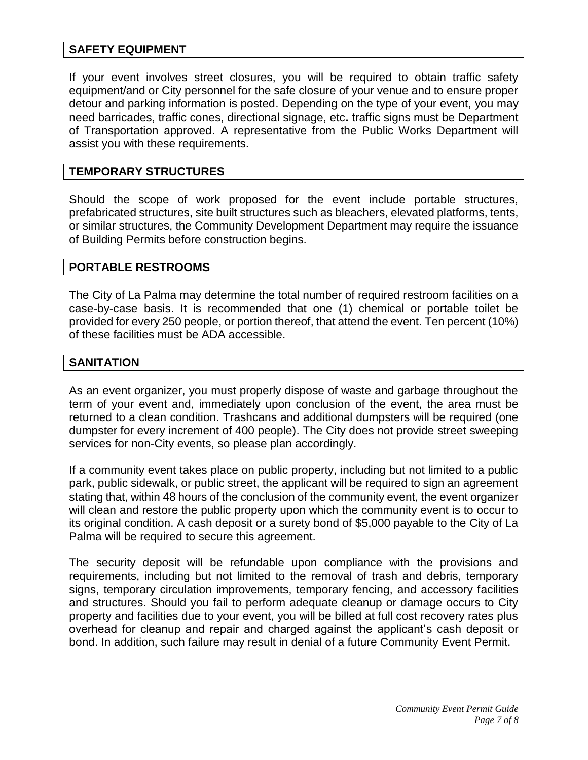# **SAFETY EQUIPMENT**

If your event involves street closures, you will be required to obtain traffic safety equipment/and or City personnel for the safe closure of your venue and to ensure proper detour and parking information is posted. Depending on the type of your event, you may need barricades, traffic cones, directional signage, etc**.** traffic signs must be Department of Transportation approved. A representative from the Public Works Department will assist you with these requirements.

## **TEMPORARY STRUCTURES**

Should the scope of work proposed for the event include portable structures, prefabricated structures, site built structures such as bleachers, elevated platforms, tents, or similar structures, the Community Development Department may require the issuance of Building Permits before construction begins.

## **PORTABLE RESTROOMS**

The City of La Palma may determine the total number of required restroom facilities on a case-by-case basis. It is recommended that one (1) chemical or portable toilet be provided for every 250 people, or portion thereof, that attend the event. Ten percent (10%) of these facilities must be ADA accessible.

## **SANITATION**

As an event organizer, you must properly dispose of waste and garbage throughout the term of your event and, immediately upon conclusion of the event, the area must be returned to a clean condition. Trashcans and additional dumpsters will be required (one dumpster for every increment of 400 people). The City does not provide street sweeping services for non-City events, so please plan accordingly.

If a community event takes place on public property, including but not limited to a public park, public sidewalk, or public street, the applicant will be required to sign an agreement stating that, within 48 hours of the conclusion of the community event, the event organizer will clean and restore the public property upon which the community event is to occur to its original condition. A cash deposit or a surety bond of \$5,000 payable to the City of La Palma will be required to secure this agreement.

The security deposit will be refundable upon compliance with the provisions and requirements, including but not limited to the removal of trash and debris, temporary signs, temporary circulation improvements, temporary fencing, and accessory facilities and structures. Should you fail to perform adequate cleanup or damage occurs to City property and facilities due to your event, you will be billed at full cost recovery rates plus overhead for cleanup and repair and charged against the applicant's cash deposit or bond. In addition, such failure may result in denial of a future Community Event Permit.